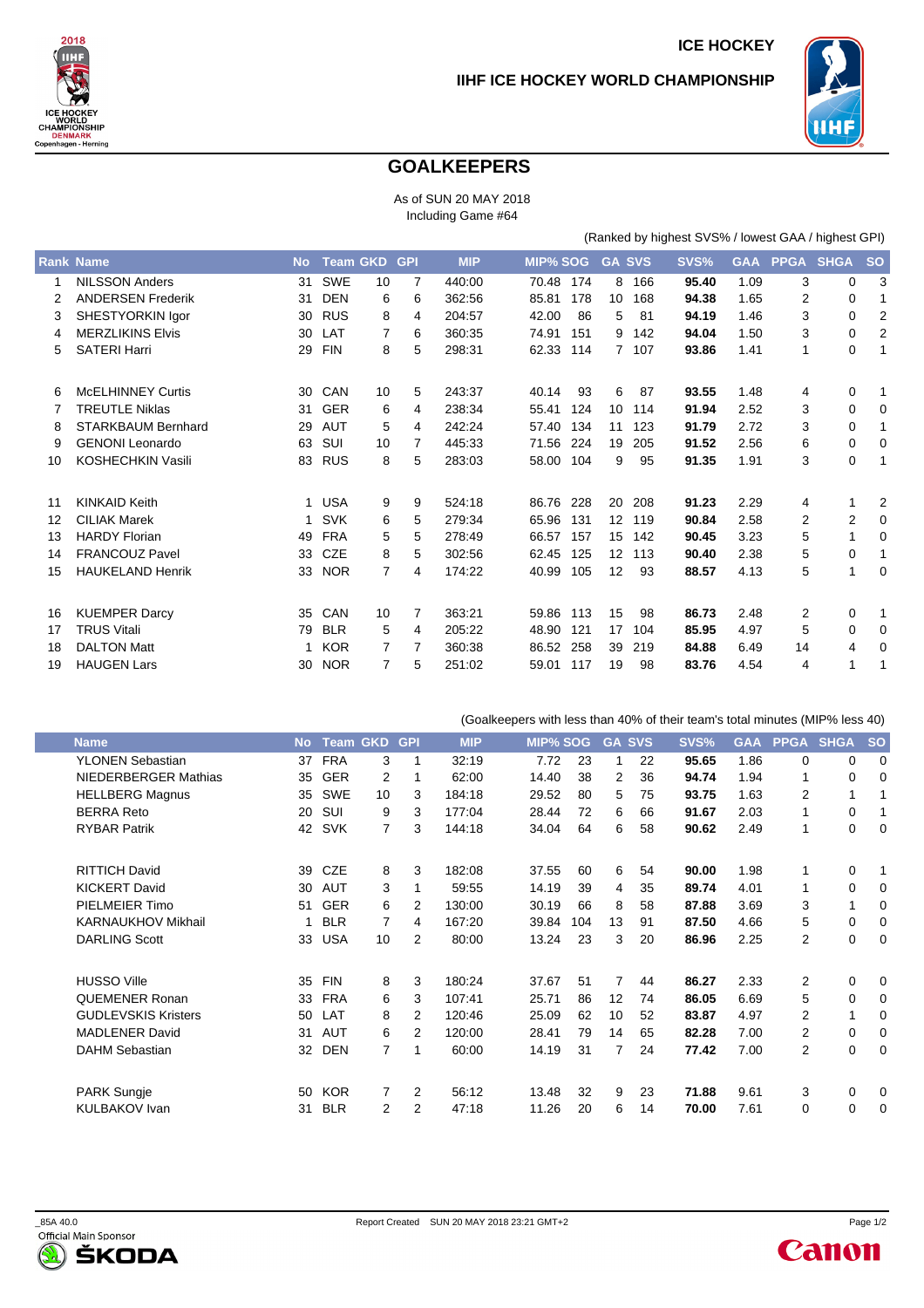

(Ranked by highest SVS% / lowest GAA / highest GPI)



## **GOALKEEPERS**

As of SUN 20 MAY 2018 Including Game #64

|    | <b>Rank Name</b>          | <b>No</b> | <b>Team GKD</b> |                | <b>GPI</b> | <b>MIP</b> | <b>MIP% SOG</b> |     | <b>GA SVS</b>     |     | SVS%  | <b>GAA</b> | <b>PPGA</b>    | <b>SHGA</b> | <b>SO</b> |
|----|---------------------------|-----------|-----------------|----------------|------------|------------|-----------------|-----|-------------------|-----|-------|------------|----------------|-------------|-----------|
| 1  | <b>NILSSON Anders</b>     | 31        | <b>SWE</b>      | 10             | 7          | 440:00     | 70.48           | 174 | 8                 | 166 | 95.40 | 1.09       | 3              | 0           | 3         |
|    | <b>ANDERSEN Frederik</b>  | 31        | <b>DEN</b>      | 6              | 6          | 362:56     | 85.81           | 178 | 10                | 168 | 94.38 | 1.65       | 2              | 0           |           |
| 3  | SHESTYORKIN Igor          | 30        | <b>RUS</b>      | 8              | 4          | 204:57     | 42.00           | 86  | 5                 | 81  | 94.19 | 1.46       | 3              | 0           | 2         |
| 4  | <b>MERZLIKINS Elvis</b>   | 30        | LAT             | 7              | 6          | 360:35     | 74.91           | 151 | 9                 | 142 | 94.04 | 1.50       | 3              | 0           | 2         |
| 5  | <b>SATERI Harri</b>       | 29        | <b>FIN</b>      | 8              | 5          | 298:31     | 62.33           | 114 | $7^{\circ}$       | 107 | 93.86 | 1.41       | 1              | 0           | 1         |
| 6  | <b>McELHINNEY Curtis</b>  | 30        | CAN             | 10             | 5          | 243:37     | 40.14           | 93  | 6                 | 87  | 93.55 | 1.48       | 4              | 0           | 1         |
|    | <b>TREUTLE Niklas</b>     | 31        | <b>GER</b>      | 6              | 4          | 238:34     | 55.41           | 124 | 10                | 114 | 91.94 | 2.52       | 3              | 0           | 0         |
| 8  | <b>STARKBAUM Bernhard</b> | 29        | AUT             | 5              | 4          | 242:24     | 57.40           | 134 | 11                | 123 | 91.79 | 2.72       | 3              | 0           | 1         |
| 9  | <b>GENONI Leonardo</b>    | 63        | SUI             | 10             | 7          | 445:33     | 71.56           | 224 | 19                | 205 | 91.52 | 2.56       | 6              | $\mathbf 0$ | 0         |
| 10 | KOSHECHKIN Vasili         | 83        | <b>RUS</b>      | 8              | 5          | 283:03     | 58.00           | 104 | 9                 | 95  | 91.35 | 1.91       | 3              | $\mathbf 0$ | 1         |
| 11 | <b>KINKAID Keith</b>      | 1         | <b>USA</b>      | 9              | 9          | 524:18     | 86.76           | 228 | 20                | 208 | 91.23 | 2.29       | 4              |             | 2         |
| 12 | <b>CILIAK Marek</b>       | 1         | <b>SVK</b>      | 6              | 5          | 279:34     | 65.96           | 131 | $12 \overline{ }$ | 119 | 90.84 | 2.58       | 2              | 2           | 0         |
| 13 | <b>HARDY Florian</b>      | 49        | <b>FRA</b>      | 5              | 5          | 278:49     | 66.57           | 157 | 15                | 142 | 90.45 | 3.23       | 5              | 1           | 0         |
| 14 | <b>FRANCOUZ Pavel</b>     | 33        | <b>CZE</b>      | 8              | 5          | 302:56     | 62.45           | 125 | $12 \overline{ }$ | 113 | 90.40 | 2.38       | 5              | 0           | 1         |
| 15 | <b>HAUKELAND Henrik</b>   | 33        | <b>NOR</b>      | $\overline{7}$ | 4          | 174:22     | 40.99           | 105 | 12                | 93  | 88.57 | 4.13       | 5              | 1           | 0         |
| 16 | <b>KUEMPER Darcy</b>      | 35        | CAN             | 10             | 7          | 363:21     | 59.86           | 113 | 15                | 98  | 86.73 | 2.48       | $\overline{2}$ | 0           | 1         |
| 17 | <b>TRUS Vitali</b>        | 79        | <b>BLR</b>      | 5              | 4          | 205:22     | 48.90           | 121 | 17                | 104 | 85.95 | 4.97       | 5              | 0           | 0         |
| 18 | <b>DALTON Matt</b>        |           | <b>KOR</b>      | 7              | 7          | 360:38     | 86.52           | 258 | 39                | 219 | 84.88 | 6.49       | 14             | 4           | 0         |
| 19 | <b>HAUGEN Lars</b>        | 30        | <b>NOR</b>      | 7              | 5          | 251:02     | 59.01           | 117 | 19                | 98  | 83.76 | 4.54       | 4              | 1           |           |

(Goalkeepers with less than 40% of their team's total minutes (MIP% less 40) **Name No Team GKD GPI MIP MIP% SOG GA SVS SVS% GAA PPGA SHGA SO** YLONEN Sebastian 37 FRA 3 1 32:19 7.72 23 1 22 **95.65** 1.86 0 0 0 NIEDERBERGER Mathias 35 GER 2 1 62:00 14.40 38 2 36 **94.74** 1.94 1 0 0 HELLBERG Magnus 35 SWE 10 3 184:18 29.52 80 5 75 **93.75** 1.63 2 1 1 BERRA Reto 20 SUI 9 3 177:04 28.44 72 6 66 **91.67** 2.03 1 0 1 RYBAR Patrik 42 SVK 7 3 144:18 34.04 64 6 58 **90.62** 2.49 1 0 0 RITTICH David 39 CZE 8 3 182:08 37.55 60 6 54 **90.00** 1.98 1 0 1 KICKERT David 30 AUT 3 1 59:55 14.19 39 4 35 **89.74** 4.01 1 0 0 PIELMEIER Timo 51 GER 6 2 130:00 30.19 66 8 58 **87.88** 3.69 3 1 0 KARNAUKHOV Mikhail 1 BLR 7 4 167:20 39.84 104 13 91 **87.50** 4.66 5 0 0 DARLING Scott 33 USA 10  $\mathfrak{p}$ 80:00 13.24 23 3 20 **86.96** 2.25  $\mathfrak{p}$  $\Omega$  $\Omega$ HUSSO Ville 35 FIN 8 3 180:24 37.67 51 7 44 **86.27** 2.33 2 0 0 QUEMENER Ronan 33 FRA 6 3 107:41 25.71 86 12 74 **86.05** 6.69 5 0 0 GUDLEVSKIS Kristers 50 LAT 8 2 120:46 25.09 62 10 52 **83.87** 4.97 2 1 0 MADLENER David 31 AUT 6 2 120:00 28.41 79 14 65 **82.28** 7.00 2 0 0 DAHM Sebastian 32 DEN 7 1 60:00 14.19 31 7 24 **77.42** 7.00  $\overline{2}$  $\Omega$ 0 PARK Sungje 50 KOR 7 2 56:12 13.48 32 9 23 **71.88** 9.61 3 0 0 KULBAKOV Ivan 31 BLR 2 2 47:18 11.26 20 6 14 **70.00** 7.61 0 0 0